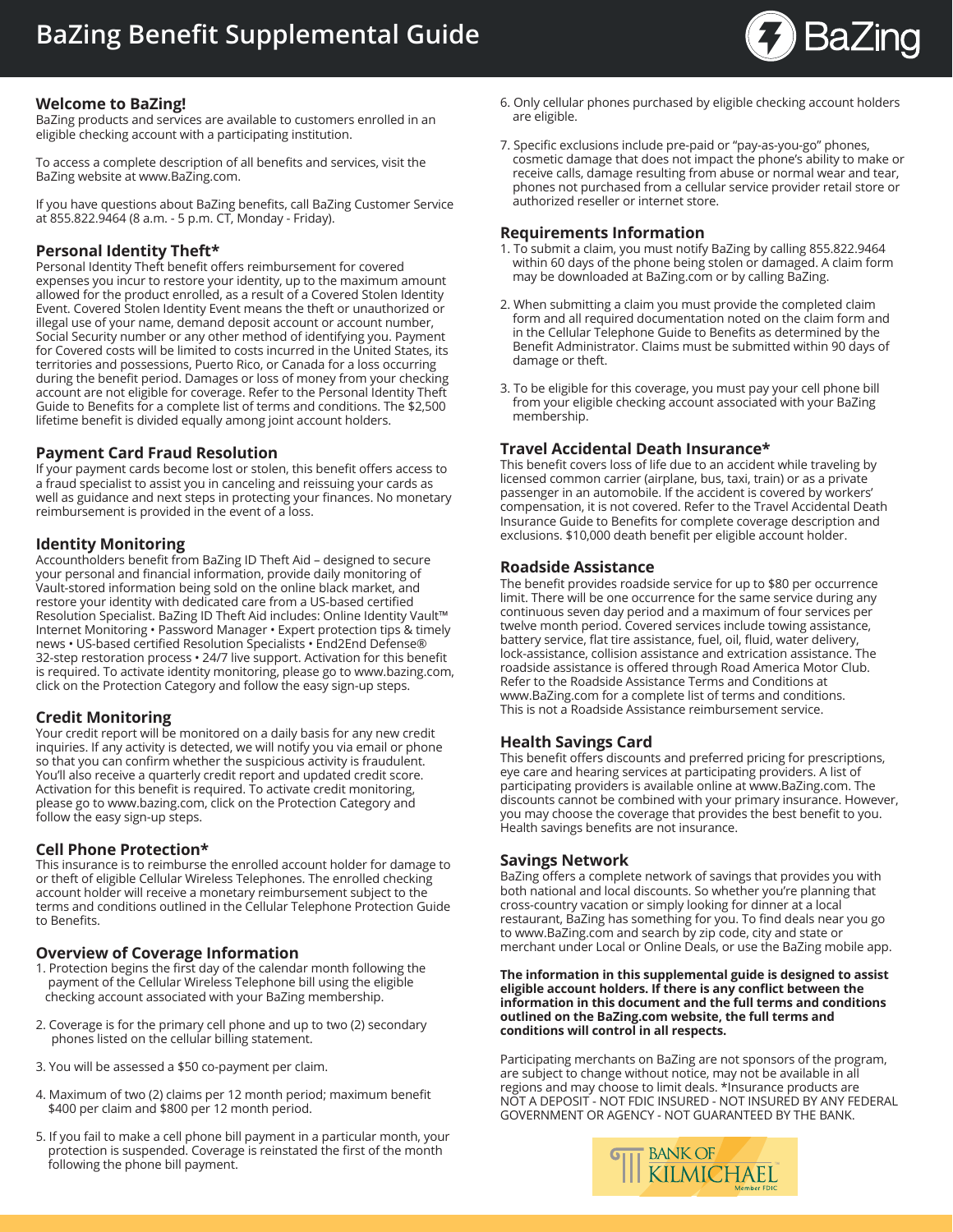

# **Welcome to BaZing!**

BaZing products and services are available to customers enrolled in an eligible checking account with a participating institution.

To access a complete description of all benefits and services, visit the BaZing website at www.BaZing.com.

If you have questions about BaZing benefits, call BaZing Customer Service at 855.822.9464 (8 a.m. - 5 p.m. CT, Monday - Friday).

# **Personal Identity Theft\***

Personal Identity Theft benefit offers reimbursement for covered expenses you incur to restore your identity, up to the maximum amount allowed for the product enrolled, as a result of a Covered Stolen Identity Event. Covered Stolen Identity Event means the theft or unauthorized or illegal use of your name, demand deposit account or account number, Social Security number or any other method of identifying you. Payment for Covered costs will be limited to costs incurred in the United States, its territories and possessions, Puerto Rico, or Canada for a loss occurring during the benefit period. Damages or loss of money from your checking account are not eligible for coverage. Refer to the Personal Identity Theft Guide to Benefits for a complete list of terms and conditions. The \$2,500 lifetime benefit is divided equally among joint account holders.

## **Payment Card Fraud Resolution**

If your payment cards become lost or stolen, this benefit offers access to a fraud specialist to assist you in canceling and reissuing your cards as well as guidance and next steps in protecting your finances. No monetary reimbursement is provided in the event of a loss.

## **Identity Monitoring**

Accountholders benefit from BaZing ID Theft Aid – designed to secure your personal and financial information, provide daily monitoring of Vault-stored information being sold on the online black market, and restore your identity with dedicated care from a US-based certified Resolution Specialist. BaZing ID Theft Aid includes: Online Identity Vault™ Internet Monitoring • Password Manager • Expert protection tips & timely news • US-based certified Resolution Specialists • End2End Defense® 32-step restoration process • 24/7 live support. Activation for this benefit is required. To activate identity monitoring, please go to www.bazing.com, click on the Protection Category and follow the easy sign-up steps.

## **Credit Monitoring**

Your credit report will be monitored on a daily basis for any new credit inquiries. If any activity is detected, we will notify you via email or phone so that you can confirm whether the suspicious activity is fraudulent. You'll also receive a quarterly credit report and updated credit score. Activation for this benefit is required. To activate credit monitoring, please go to www.bazing.com, click on the Protection Category and follow the easy sign-up steps.

## **Cell Phone Protection\***

This insurance is to reimburse the enrolled account holder for damage to or theft of eligible Cellular Wireless Telephones. The enrolled checking account holder will receive a monetary reimbursement subject to the terms and conditions outlined in the Cellular Telephone Protection Guide to Benefits.

## **Overview of Coverage Information**

- 1. Protection begins the first day of the calendar month following the payment of the Cellular Wireless Telephone bill using the eligible checking account associated with your BaZing membership.
- 2. Coverage is for the primary cell phone and up to two (2) secondary phones listed on the cellular billing statement.
- 3. You will be assessed a \$50 co-payment per claim.
- 4. Maximum of two (2) claims per 12 month period; maximum benefit \$400 per claim and \$800 per 12 month period.
- 5. If you fail to make a cell phone bill payment in a particular month, your protection is suspended. Coverage is reinstated the first of the month following the phone bill payment.
- 6. Only cellular phones purchased by eligible checking account holders are eligible.
- 7. Specific exclusions include pre-paid or "pay-as-you-go" phones, cosmetic damage that does not impact the phone's ability to make or receive calls, damage resulting from abuse or normal wear and tear, phones not purchased from a cellular service provider retail store or authorized reseller or internet store.

#### **Requirements Information**

- 1. To submit a claim, you must notify BaZing by calling 855.822.9464 within 60 days of the phone being stolen or damaged. A claim form may be downloaded at BaZing.com or by calling BaZing.
- 2. When submitting a claim you must provide the completed claim form and all required documentation noted on the claim form and in the Cellular Telephone Guide to Benefits as determined by the Benefit Administrator. Claims must be submitted within 90 days of damage or theft.
- 3. To be eligible for this coverage, you must pay your cell phone bill from your eligible checking account associated with your BaZing membership.

# **Travel Accidental Death Insurance\***

This benefit covers loss of life due to an accident while traveling by licensed common carrier (airplane, bus, taxi, train) or as a private passenger in an automobile. If the accident is covered by workers' compensation, it is not covered. Refer to the Travel Accidental Death Insurance Guide to Benefits for complete coverage description and exclusions. \$10,000 death benefit per eligible account holder.

#### **Roadside Assistance**

The benefit provides roadside service for up to \$80 per occurrence limit. There will be one occurrence for the same service during any continuous seven day period and a maximum of four services per twelve month period. Covered services include towing assistance, battery service, flat tire assistance, fuel, oil, fluid, water delivery, lock-assistance, collision assistance and extrication assistance. The roadside assistance is offered through Road America Motor Club. Refer to the Roadside Assistance Terms and Conditions at www.BaZing.com for a complete list of terms and conditions. This is not a Roadside Assistance reimbursement service.

## **Health Savings Card**

This benefit offers discounts and preferred pricing for prescriptions, eye care and hearing services at participating providers. A list of participating providers is available online at www.BaZing.com. The discounts cannot be combined with your primary insurance. However, you may choose the coverage that provides the best benefit to you. Health savings benefits are not insurance.

#### **Savings Network**

BaZing offers a complete network of savings that provides you with both national and local discounts. So whether you're planning that cross-country vacation or simply looking for dinner at a local restaurant, BaZing has something for you. To find deals near you go to www.BaZing.com and search by zip code, city and state or merchant under Local or Online Deals, or use the BaZing mobile app.

**The information in this supplemental guide is designed to assist eligible account holders. If there is any conflict between the information in this document and the full terms and conditions outlined on the BaZing.com website, the full terms and conditions will control in all respects.**

Participating merchants on BaZing are not sponsors of the program, are subject to change without notice, may not be available in all regions and may choose to limit deals. \*Insurance products are NOT A DEPOSIT - NOT FDIC INSURED - NOT INSURED BY ANY FEDERAL GOVERNMENT OR AGENCY - NOT GUARANTEED BY THE BANK.